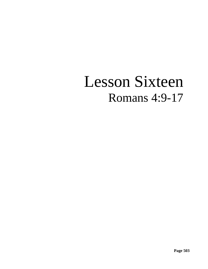# Lesson Sixteen Romans 4:9-17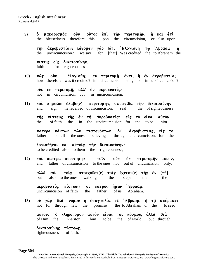9) ο μακαρισμός οὖν οὖτος ἐπὶ τὴν περιτομὴν, ἢ καὶ ἐπὶ the blessedness therefore this upon the circumcision, or also upon

**th;n ajkrobustivanÉ levgomen gavr [o{ti] jElogivsqh tw`/ jAbraa;m hJ**  the uncircumcision? we say for [that] Was credited the to Abraham the

 $\pi$ ίστις είς δικαιοσύνην. faith for righteousness.

10) **πώς οὖν έλογίσθη; ἐν περιτομή ὄντι, ή ἐν ακροβυστία;** how therefore was it credited? in circumcision being, or in uncircumcision?

oὐκ ἐν περιτομῆ, ἀλλ' ἐν ἀκροβυστί*α*· not in circumcision, but in uncircumcision;

11) **καί σημείον έλαβε(ν) περιτομής, σφραγίδα τής δικαιοσύνης** and sign he received of circumcision, seal the of righteousness

τῆς πίστεως τῆς ἐν τῆ ἀκροβυστία· εἰς τὸ εἶναι αὐτὸν the of faith the in the uncircumcision; for the to be him

**πατέρα πάντων τῶν πιστευόντων δι' ἀκροβυστίας, εἰς τὸ** father of all the ones believing through uncircumcision, for the

**λογισθήναι καί αύτοις τήν δικαιοσύνην·** to be credited also to them the righteousness;

12) **καί πατέρα περιτομής στοις ούκ εκ περιτομής μόνον,** and father of circumcision to the ones not out of circumcision only,

**aλλὰ καὶ τοῖς στοιχοῦσι(ν) τοῖς ἴχνεσι(ν) τῆς ἐν [τῇ]** but also to the ones walking the steps the in [the]

**άκροβυστία πίστεως τοῦ πατρὸς ἡμῶν Ἀβραάμ.** uncircumcision of faith the father of us Abraham.

13) ού γάρ διά νόμου ή επαγγελία τω Αβραάμ ή τω σπέρματι not for through law the promise the to Abraham or the to seed

```
aujtou`, to; klhronovmon aujto;n ei\nai tou` kovsmou, ajlla; dia; 
of Him, the inheritor him to be the of world, but through
```
**δικαιοσύνης πίστεως.** righteousness of faith.

**Page 504 New Testament Greek Exegesis, Copyright © 1999, BTE - The Bible Translation & Exegesis Institute of America**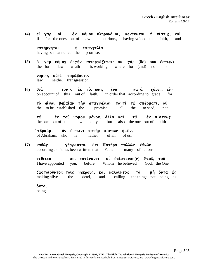14) εί γάρ οί εξκ νόμου κληρονόμοι, κεκένωται ή πίστις, καί if for the ones out of law inheritors, having voided the faith, and

**κατήργηται** ή έπαγγελία· having been annulled the promise;

**15)** ὁ γὰρ νόμος ὀργὴν κατεργάζεται· οὖ γὰρ (δὲ) οὐκ ἔστι(ν) the for law wrath is working; where for (and) no is

 $\nu$ όμος, ούδέ παράβασις. law, neither transgression.

**16) διά τούτο έκ πίστεως, ΐνα κατά χάριν, είς** on account of this out of faith, in order that according to grace, for

το είναι βεβαίαν την επαγγελίαν παντι τω σπέρματι, ού the to be established the promise all the to seed, not

**tw`/ ejk tou` novmou movnon, ajlla; kai; tw`/ ejk pivstew"**  the one out of the law only, but also the one out of faith

*Aβραάμ, ος έστι(ν) πατὴρ πάντων ἡμῶν***,** of Abraham, who is father of all of us,

**17) καθώς γέγραπται ὄτι Πατέρα πολλῶν ἐθνῶν** according as it has been written that Father many of nations

τέθεικα **τε, κατέναντι ου επίστευσε(ν) Θεου, του** I have appointed you, before Whom he believed God, the One

**ζωοποιοῦντος τοὺς νεκροὺς, καὶ καλοῦντος τὰ μὴ ὄντα ώς** making alive the dead, and calling the things not being as

 $\check{0}$ ντα. being.

**New Testament Greek Exegesis, Copyright © 1999, BTE - The Bible Translation & Exegesis Institute of America** The GreacaII and NewJerusalemU fonts used in this work are available from Linguist's Software, Inc., www.linguistsoftware.com.

**Page 505**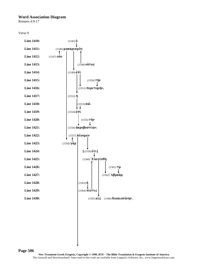#### **Word Association Diagram**

Romans 4:9-17

```
Verse 9
```


**Page 506**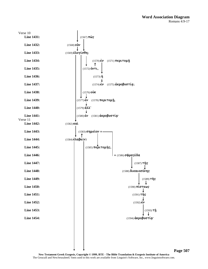#### **Word Association Diagram** Romans 4:9-17



**Page 507**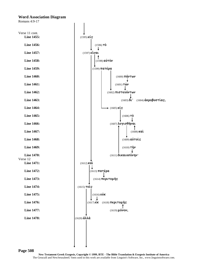#### **Word Association Diagram**

Romans 4:9-17



**Page 508**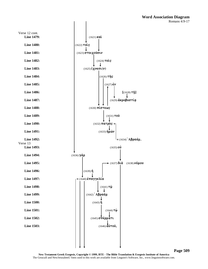

**Page 509**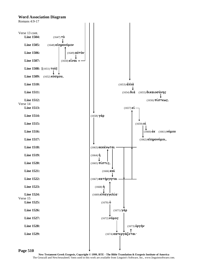#### **Word Association Diagram**



**Page 510**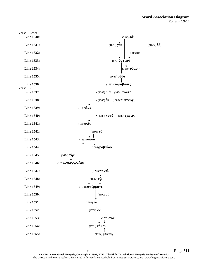#### **Word Association Diagram** Romans 4:9-17



**Page 511**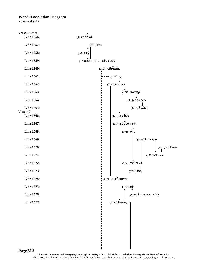#### **Word Association Diagram**

**Page 512**

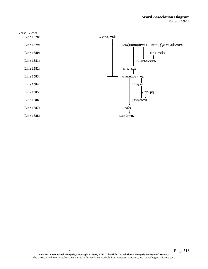#### **Word Association Diagram** Romans 4:9-17

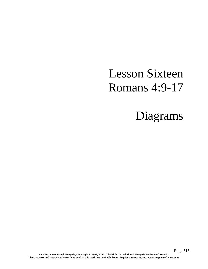### Lesson Sixteen Romans 4:9-17

## Diagrams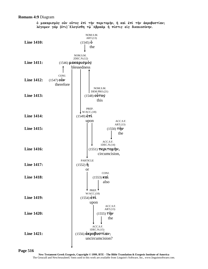#### **Romans 4:9** Diagram

**o μακαρισμος ούν ούτος έπι την περιτομην, η και έπι την ακροβυστίαν;**  $\lambda$ έγομεν γάρ [ὅτι] Ελογίσθη τ<u>ώ</u> Αβραάμ ή πίστις είς δικαιοσύνην.



**Page 516**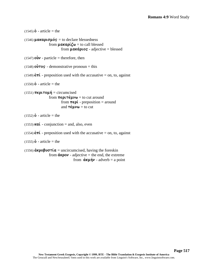```
(1545) o - article = the
(1546) \muaka\rho \nu \sigma \muós = to declare blessedness
                     from \muakapi\zeta \omega = to call blessed
                                 from \mu\alpha \times \alpha plots - adjective = blessed
(1547) \mathbf{0}\mathbf{\hat{\Psi}} - particle = therefore, then
(1548) o\hat{v}ros - demonstrative pronoun = this
(1549) \epsilon \pi i - preposition used with the accusative = on, to, against
(1550) \dot{\mathbf{0}} - article = the
(1551) \pi \epsilon \rho \tau \sigma \mu \eta = circumcised
                     from \pi \epsilon \rho \iota \tau \notin \mu \nu \omega = to cut around
                                from \pi \in \rho \mathfrak{t} - preposition = around
                                 and \tau \notin \mu \nu \omega = to cut
(1552) \dot{\mathbf{0}} - article = the
(1553) \kappa a\hat{i} - conjunction = and, also, even
(1554) \epsilon \pi i - preposition used with the accusative = on, to, against
(1555) \dot{\mathbf{0}} - article = the
(1556) \hat{\alpha}k\rho\theta \theta \sigma \tau (\alpha) = uncircumcised, having the foreskin
                      from \ddot{\alpha}kpov - adjective = the end, the extreme
                                            from \hat{\alpha}ku\hat{\gamma}v - adverb = a point
```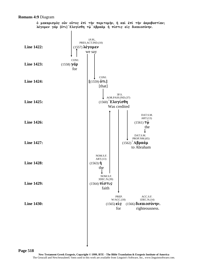#### **Romans 4:9** Diagram

**o μακαρισμος ούν ούτος έπι την περιτομην, η και έπι την ακροβυστίαν;**  $\lambda$ έγομεν γάρ [ὅτι] Ελογίσθη τ<u>ώ</u> Αβραάμ ή πίστις είς δικαιοσύνην.



**Page 518**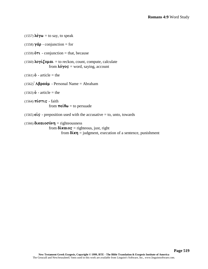$(1557)$   $\lambda \acute{\epsilon} \gamma \omega =$  to say, to speak (1558)  $\gamma \dot{\alpha} \rho$  - conjunction = for (1559)  $\ddot{\text{o}}$ T**l** - conjunction = that, because  $(1560)$  **loyi** $\zeta$ **ount** = to reckon, count, compute, calculate from  $\lambda$ *o* $\gamma$ **os** = word, saying, account  $(1561)$  **o** - article = the  $(1562)$  **A** $\beta \rho \alpha \dot{\alpha} \mu$  - Personal Name = Abraham  $(1563)$  $\dot{\textbf{o}}$  - article = the  $(1564)$   $\pi i \sigma \tau \iota$ s - faith from  $\pi \in \mathfrak{e} \Theta \omega =$  to persuade (1565)  $\epsilon$ **is** - preposition used with the accusative = to, unto, towards  $(1566)$   $\delta$ **katoo** $\nu$ n = righteousness from  $\delta$ *k***alos** = righteous, just, right from  $\delta(\kappa \eta)$  = judgment, execution of a sentence, punishment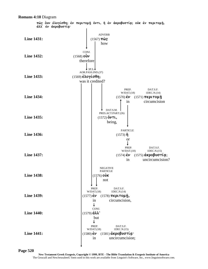

**Page 520**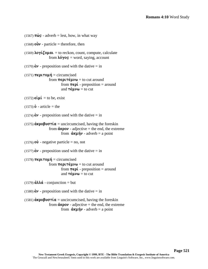```
(1567) \pi\hat{\omega}s - adverb = lest, how, in what way
(1568) \vec{ov} - particle = therefore, then
(1569) loyi\zetaount = to reckon, count, compute, calculate
                       from \lambda \acute{o} \gammaos = word, saying, account
(1570) \dot{\epsilon}\nu - preposition used with the dative = in
(1571) \pi \epsilon \rho \tau \sigma \mu \eta = circumcised
                       from \pi \epsilon \rho \iota \tau \dot{\epsilon} \mu \nu \omega = to cut around
                                    from \pi \in \rho \mathcal{L} - preposition = around
                                    and \tau \notin \mathfrak{u} \nu \omega = \text{to} \text{cut}(1572) \epsilon \mathbf{i} \mu \mathbf{i} = to be, exist
(1573)\dot{\mathbf{o}} - article = the
(1574) \acute{\epsilon}v - preposition used with the dative = in
(1575) \hat{\alpha}k\rho\theta \beta \nu \sigma \tau \hat{\iota} \alpha = uncircumcised, having the foreskin
                       from \angle \angle \angle adjective = the end, the extreme
                                    from \hat{\mathbf{a}}ku\hat{\mathbf{v}} - adverb = a point
(1576) \vec{\bf{v}} - negative particle = no, not
(1577) \dot{\epsilon}\nu - preposition used with the dative = in
(1578) \pi \epsilon \rho \tau \sigma \mu \eta = circumcised
                       from \pi \epsilon \rho \iota \tau \dot{\epsilon} \mu \nu \omega = to cut around
                                    from \pi \in \rho \mathcal{L} - preposition = around
                                    and \tau \notin \mathfrak{u} \nu \omega = \text{to cut}(1579) \dot{\alpha}\lambda\lambda\dot{\alpha} - conjunction = but
(1580) \dot{\epsilon}v - preposition used with the dative = in
(1581) \hat{\alpha}k\rho\theta \nu \sigma \tau \hat{\alpha} = uncircumcised, having the foreskin
                        from \angle d\mathbf{K}pov - adjective = the end, the extreme
                                    from \hat{\alpha}ku\hat{\gamma} - adverb = a point
```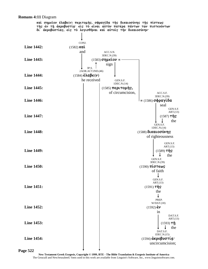#### **Romans 4:11** Diagram

**καί σημεΐον έλαβε(ν) περιτομής, σφραγίδα τής δικαιοσύνης τής πίστεως** της εν τη ακροβυστία είς το είναι αυτον πατέρα πάντων των πιστευόντων  $\delta t$  *α*κροβυστίας, είς το λογισθήναι και αύτοις την δικαιοσύνην·

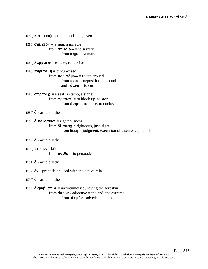```
(1582) \kappa a\hat{i} - conjunction = and, also, even
(1583) \sigma\eta \mu \epsilon \hat{i} \sigma \nu = a \text{ sign, a} miracle
                       from \sigmanuggle \alpha = to signify
                                    from \sigma \hat{\eta} \mu \alpha = a mark
(1584) \lambda \alpha \mu \beta \dot{\alpha} \nu \omega = to take, to receive
(1585) \pi \epsilon \rho \tau \sigma \mu \eta = circumcised
                       from \pi \epsilon \rho \iota \tau \dot{\epsilon} \mu \nu \omega = to cut around
                                    from \pi \in \rho \mathcal{L} - preposition = around
                                    and \tau \notin \mu \nu \omega = to cut
(1586) \sigma \phi \rho \alpha \gammais = a seal, a stamp, a signet
                       from \phi \rho \acute{\alpha} \sigma \sigma \omega = to block up, to stop
                                   from \phi \rho \dot{\eta} \nu = to fence, to enclose
(1587) \dot{\mathbf{0}} - article = the
(1588) \deltakaloov\eta = righteousness
                       from \deltakalos = righteous, just, right
                                    from \delta(\kappa \eta) = judgment, execution of a sentence, punishment
(1589) o - article = the
(1590) \pi \omega \tau \omega - faith
                       from \pi \in \mathfrak{so} = to persuade
(1591) \dot{\mathbf{0}} - article = the
(1592) \dot{\epsilon} \nu - preposition used with the dative = in
(1593) \dot{\mathbf{0}} - article = the
(1594) \hat{\alpha}k\rho\sigma \beta \nu \sigma \tau \hat{\alpha} = uncircumcised, having the foreskin
                       from \angle \angle \angle adjective = the end, the extreme
                                    from \hat{\alpha}ku\hat{\gamma} - adverb = a point
```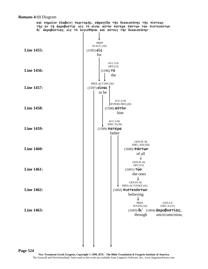#### **Romans 4:11** Diagram

**καί σημεΐον έλαβε(ν) περιτομής, σφραγίδα τής δικαιοσύνης τής πίστεως τής ἐν τή ἀκροβυστία· εἰς τὸ εἰναι αὐτὸν πατέρα πάντων τῶν πιστευόντων δι' ἀκροβυστίας, εἰς τὸ λογισθῆναι καὶ αὐτοῖς τὴν δικαιοσύνην<sup>.</sup>** 

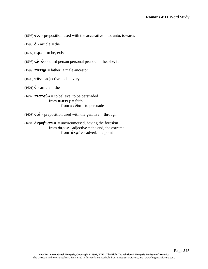(1595)  $\epsilon$ **is** - preposition used with the accusative = to, unto, towards

 $(1596)$  **o** - article = the

 $(1597)$   $\epsilon \mathbf{i} \mu \mathbf{i} =$  to be, exist

 $(1598)$   $\alpha \dot{\nu} \tau \dot{\sigma}$  - third person personal pronoun = he, she, it

(1599)  $\pi a \tau \eta \rho$  = father; a male ancestor

 $(1600)$   $\pi \hat{a}$ s - adjective = all, every

 $(1601) \dot{\mathbf{0}}$  - article = the

(1602)  $\pi \iota \sigma \tau \in \mathfrak{v} \omega$  = to believe, to be persuaded from  $\pi i \sigma \tau i s = \text{faith}$ from  $\pi \in \mathfrak{e} \Theta \omega$  = to persuade

(1603)  $\delta \alpha$  - preposition used with the genitive = through

(1604)  $\hat{\alpha}$ **k** $\rho$  $\theta \hat{\nu}$  $\sigma \tau \hat{\iota}$  $\alpha$  = uncircumcised, having the foreskin from  $\angle \angle \angle$  adjective = the end, the extreme from  $\hat{\alpha}$ **ku** $\hat{\gamma}$  - adverb = a point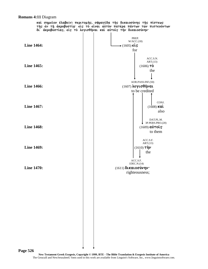#### **Romans 4:11** Diagram

**καὶ σημεῖον ἔλαβε(ν) περιτομῆς, σφραγῖδα τῆς δικαιοσύνης τῆς πίστεως τής ἐν τή ἀκροβυστία· εἰς τὸ εἰναι αὐτὸν πατέρα πάντων τῶν πιστευόντων δι' ἀκροβυστίας, εἰς τὸ λογισθῆναι καὶ αὐτοῖς τὴν δικαιοσύνην<sup>.</sup>** 

 $\overline{\phantom{a}}$ 

 $\mathbf{I}$ 

 $\mathbf{I}$ 

| <b>Line 1464:</b> | PREP.<br>W/ACC.(18)<br>$\star$ (1605) $\epsilon$ is<br>for                     |
|-------------------|--------------------------------------------------------------------------------|
| Line 1465:        | ACC.S.N.<br>ART.(13)<br>$(1606)$ TÒ<br>the                                     |
| <b>Line 1466:</b> | AOR.PASS.INF.(50)<br>$(1607)$ λογισθήναι<br>to be credited                     |
| Line 1467:        | CONJ.<br>$(1608)$ kat<br>also                                                  |
| <b>Line 1468:</b> | DAT.PL.M.<br>3P.PERS.PRO.(20)<br>$(1609)$ $\alpha\dot{\nu}\tau$ οις<br>to them |
| <b>Line 1469:</b> | ACC.S.F.<br>ART.(13)<br>$(1610)$ τήν<br>the                                    |
| <b>Line 1470:</b> | $\mbox{ACC.S.F.}$<br>1DEC.N.(14)<br>(1611) δικαιοσύνην·<br>righteousness;      |
|                   |                                                                                |
|                   |                                                                                |
|                   |                                                                                |
| ge 526            |                                                                                |

Pag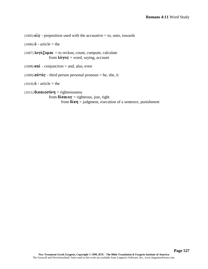(1605)  $\epsilon$ **is** - preposition used with the accusative = to, unto, towards

 $(1606)$  **o** - article = the

 $(1607) \lambda o \gamma i \zeta o \mu a \iota =$  to reckon, count, compute, calculate from  $\lambda$ *o* $\gamma$ *os* = word, saying, account

(1608)  $\kappa a\hat{i}$  - conjunction = and, also, even

(1609)  $\vec{a}\vec{v}\tau\vec{b}\vec{s}$  - third person personal pronoun = he, she, it

 $(1610) \dot{\mathbf{0}}$  - article = the

 $(1611)$   $\delta$ *katoov* $\nu$ **n** = righteousness from  $\delta$ *kalos* = righteous, just, right from  $\delta \mathbf{k} \eta$  = judgment, execution of a sentence, punishment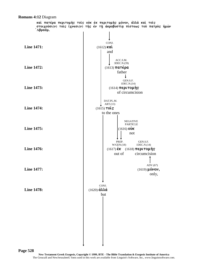

**Page 528**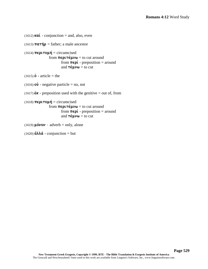```
(1612) \kappa \alpha' - conjunction = and, also, even
(1613) \pi a \tau \eta \rho = father; a male ancestor
(1614) \pi \epsilon \rho \iota \tau o \mu \eta = circumcised
                        from \pi \epsilon \rho \iota \tau \notin \mu \nu \omega = to cut around
                                     from \pi \in \rho \mathfrak{t} - preposition = around
                                     and \tau \notin \mu \nu \omega = to cut
(1615) \hat{b} - article = the
(1616) \vec{\bf o} - negative particle = no, not
(1617) \mathbf{\dot{\epsilon}}\mathbf{\kappa} - preposition used with the genitive = out of, from
(1618) \pi \epsilon \rho \tau \sigma \mu \eta = circumcised
                        from \pi \in \rho \cup \pi \in \mu \cup \omega = to cut around
                                     from \pi \in \rho \mathcal{L} - preposition = around
                                     and \tau \notin \mu \nu \omega = to cut
(1619) \muóvov - adverb = only, alone
(1620) \hat{\mathbf{d}} \lambda \lambda \hat{\mathbf{d}} - conjunction = but
```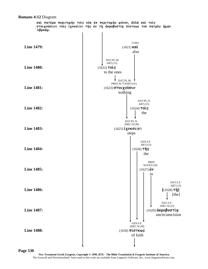

**Page 530** 

**New Testament Greek Exegesis, Copyright © 1999, BTE - The Bible Translation & Exegesis Institute of America** The GreacaII and NewJerusalemU fonts used in this work are available from Linguist's Software, Inc., www.linguistsoftware.com.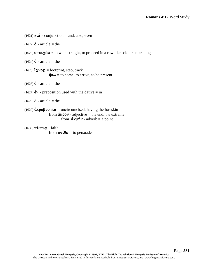```
(1621) kai - conjunction = and, also, even
(1622) \dot{\mathbf{0}} - article = the
(1623) \sigma \tau o \iota \chi \epsilon \omega = to walk straight, to proceed in a row like soldiers marching
(1624)\dot{\textbf{o}} - article = the
(1625)i\chi \nuos = footprint, step, track
                     \mathring{\eta}k\omega = to come, to arrive, to be present
(1626) o - article = the
(1627) \dot{\epsilon} \nu - preposition used with the dative = in
(1628) o - article = the
(1629) \hat{\alpha}k\rho\theta \nu \sigma \tau \hat{\alpha} = uncircumcised, having the foreskin
                     from \angle \angle \angle adjective = the end, the extreme
                                from \dot{a} \kappa \mu \dot{\eta} \nu - adverb = a point
(1630) \pi i \sigma \tau \iotas - faith
                     from \pi \in \mathfrak{e} \Theta \omega = to persuade
```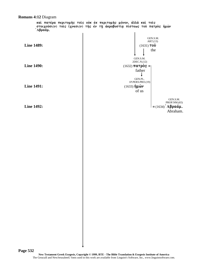#### **Romans 4:12** Diagram

**καί πατέρα περιτομής τοις ούκ έκ περιτομής μόνον, άλλά καί τοις**  $\sigma$ τοιχούσι(ν) τοις ίχνεσι(ν) της έν τη ακροβυστία πίστεως του πατρος ημών  $\delta$ <sup>λ</sup>βραάμ.

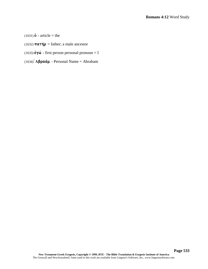- $(1631) \dot{\mathbf{0}}$  article = the
- (1632)  $\pi \alpha \tau \eta \rho$  = father; a male ancestor
- (1633)  $\dot{\epsilon} \gamma \dot{\omega}$  first person personal pronoun = I
- (1634)  $\mathbf{A}\boldsymbol{\beta}$ **paáµ** Personal Name = Abraham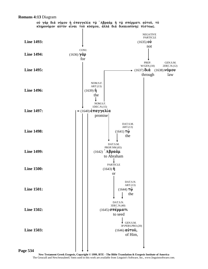

**Romans 4:13** Diagram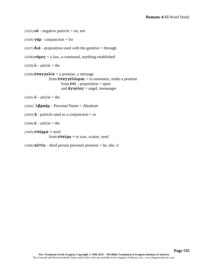```
(1635) \vec{ov} - negative particle = no, not
(1636) \gammaáp - conjunction = for
(1637) \delta \mathbf{u} \, \dot{\mathbf{a}} - preposition used with the genitive = through
(1638) \nuó\muos = a law, a command, anything established
(1639) o - article = the
(1640)\epsilon \pi a \gamma \gamma \epsilon \lambda (a = a \text{ promise}, a \text{message})from \epsilon \pi a \gamma \gamma \epsilon \lambda \lambda o \mu a \iota = to announce, make a promise
                                  from \dot{\epsilon}\pi\acute{\iota} - preposition = upon
                                  and \ddot{\alpha}\gamma\gamma\epsilon\lambdao\varsigma = angel, messenger
(1641) o - article = the
(1642) Aβραάμ - Personal Name = Abraham
(1643) \mathbf{\dot{\eta}} - particle used as a conjunction = or
(1644) o - article = the
(1645) \sigma \pi \acute{\epsilon} \rho \mu \alpha = seed
                      from \sigma \pi \epsilon \omega = to sow, scatter, seed
```
(1646)  $\vec{a}\vec{v}\tau\vec{o}s$  - third person personal pronoun = he, she, it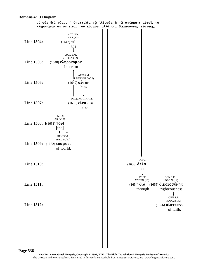#### **Romans 4:13** Diagram

oύ γάρ διά νόμου ή έπαγγελία τω 'Αβραάμ ή τω σπέρματι αύτου, τό **κληρονόμον αύτον είναι του κόσμου, άλλα δια δικαιοσύνης πίστεως.** 



**Page 536**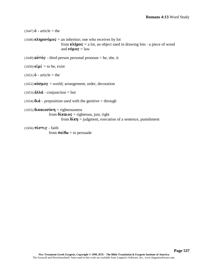```
(1647) \dot{\mathbf{0}} - article = the
(1648) k\lambdan\rhoo\nuó\muo\varsigma = an inheritor; one who receives by lot
                                from \kappa\lambda\hat{\eta}pos = a lot, an object used in drawing lots - a piece of wood
                                and \nuoµo\sigma = law
(1649) \alpha \dot{\nu} \tau \dot{\sigma} - third person personal pronoun = he, she, it
(1650) \epsilon \mathbf{i} \mu \mathbf{i} = to be, exist
(1651) \hat{b} - article = the
(1652) \kappa \acute{o} \sigma \muos = world; arrangement, order, decoration
(1653) \hat{\mathbf{a}} \lambda \lambda \hat{\mathbf{a}} - conjunction = but
(1654) \delta \alpha - preposition used with the genitive = through
(1655) \deltakatoo\nun = righteousness
                     from \deltakalos = righteous, just, right
                                from \delta \mathbf{k} \mathbf{\eta} = judgment, execution of a sentence, punishment
(1656) \pi \omega \tau \omega - faith
```
from  $\pi \in \mathfrak{e} \Theta \omega =$  to persuade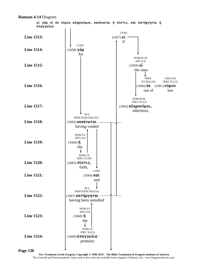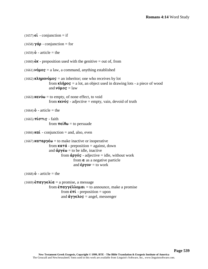```
(1657) \epsilon \hat{i} - conjunction = if
(1658) \gamma \dot{\alpha} \rho - conjunction = for
(1659) o - article = the
(1660) \acute{\epsilon}K - preposition used with the genitive = out of, from
(1661) \nuó\muos = a law, a command, anything established
(1662) k\lambdan\rhoo\nu\phi\muo\varsigma = an inheritor; one who receives by lot
                      from \kappa\lambda\hat{\eta}\rho o\varsigma = a lot, an object used in drawing lots - a piece of wood
                      and \nub\muos = law
(1663) \mathbf{K}\in\mathbf{V}\acute{o}\omega = to empty, of none effect, to void
                      from \kappa \in \nu \circ s - adjective = empty, vain, devoid of truth
(1664)\dot{\textbf{o}} - article = the
(1665) \pi \omega \tau \omega - faith
                      from \pi \in \mathfrak{e} \Theta \omega = to persuade
(1666) \kappa a\hat{i} - conjunction = and, also, even
(1667) katapyé\omega = to make inactive or inoperative
                      from \kappa a \tau \acute{a} - preposition = against, down
                      and \dot{\alpha} \rho \gamma \dot{\epsilon} \omega = to be idle, inactive
                                 from \dot{\alpha}p\gammaos - adjective = idle, without work
                                            from a as a negative particle
                                            and \epsilon \rho \gamma o \nu = to work
(1668) o - article = the
(1669) \epsilon \pi a \gamma \gamma \epsilon \lambda a = a promise, a message
                      from \epsilon \pi a \gamma \gamma \epsilon \lambda \lambda o \mu a \iota = to announce, make a promise
                                 from \dot{\epsilon}\pi\acute{\iota} - preposition = upon
                                 and \ddot{\alpha} \gamma \gamma \epsilon \lambdao\varsigma = angel, messenger
```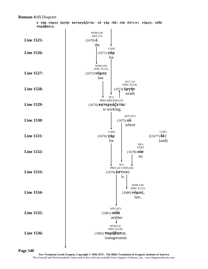

**Page 540**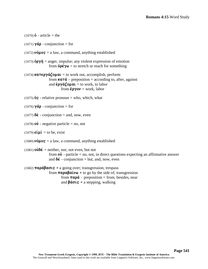```
(1670) o - article = the
(1671) \gamma \dot{\alpha} \rho - conjunction = for
(1672) \nuó\muos = a law, a command, anything established
(1673) \phi<sup>\phi</sup>\gamma\dot{\eta} = anger, impulse; any violent expression of emotion
                     from \dot{\mathbf{o}}\rho \dot{\boldsymbol{\epsilon}} \gamma \boldsymbol{\omega} = to stretch or reach for something
(1674) katergal \phik \phikatering \phikouthouth accomplish, perform
                     from \kappa a \tau \dot{a} – preposition = according to, after, against
                     and \epsilon \rho \gamma \alpha \zeta \rho \mu \alpha \iota = to work, to labor
                                from \epsilon \rho \gamma o \nu = work, labor
(1675) \ddot{\mathbf{o}}s - relative pronoun = who, which, what
(1676) \gammaá\rho - conjunction = for
(1677) \delta \dot{\epsilon} - conjunction = and, now, even
(1678) \vec{\bf{v}} - negative particle = no, not
(1679) \epsilon \mathbf{i} \mu \mathbf{i} = to be, exist
(1680) \nuó\muos = a law, a command, anything established
(1681) o\dot{v}d\dot{\epsilon} = neither, nor, not even, but not
                     from o\dot{v} - particle = no, not, in direct questions expecting an affirmative answer
                     and \delta \acute{\epsilon} - conjunction = but, and, now, even
(1682) \pi a \rho \acute{a} \beta a \sigma \iota s = a going over; transgression, trespass
                     from \pi \alpha \rho \alpha \beta \alpha \psi \omega = to go by the side of; transgression
                                from \pi a \rho \dot{a} - preposition = from, besides, near
```
and  $\beta \acute{a} \sigma \iota$ **s** = a stepping, walking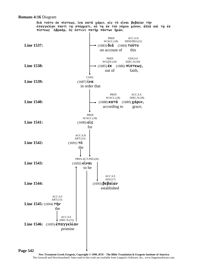**Romans 4:16** Diagram

διά τούτο έκ πίστεως, *ίνα κατ*ά χάριν, είς τὸ είναι βεβαίαν τήν επαγγελίαν παντι τω σπέρματι, ου τω εκ του νόμου μόνον, αλλα και τω εκ  $\pi$ ίστεως 'Αβραάμ, ός έστι(ν) πατήρ παντων ήμων,



**Page 542**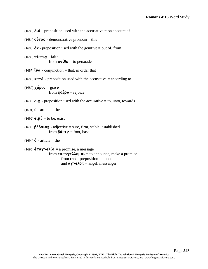```
(1684) o\hat{v}ros - demonstrative pronoun = this
(1685) \acute{\epsilon}K - preposition used with the genitive = out of, from
(1686) \pi \omega \tau \omega - faith
                      from \pi \epsilon \mathbf{i} \theta \omega = \text{to} persuade
(1687) \mathbf{\hat{i}}\mathbf{v}\mathbf{a} - conjunction = that, in order that
(1688) kata - preposition used with the accusative = according to
(1689) \chiá\rhois = grace
                      from x \alpha \mathbf{i} \rho \omega = rejoice
(1690) \epsilonis - preposition used with the accusative = to, unto, towards
(1691) \dot{\mathbf{0}} - article = the
(1692) \epsilon \mathbf{i} \mu \mathbf{i} = to be, exist
(1693) \beta \epsilon \beta a \log \theta - adjective = sure, firm, stable, established
                      from \beta \acute{a} \sigma \iotas = foot, base
(1694)\dot{\textbf{o}} - article = the
```
(1683)  $\delta \alpha$  - preposition used with the accusative = on account of

```
(1695) \hat{\epsilon} \pi a \gamma \gamma \epsilon \lambda \hat{\i} a = a promise, a message
                              from \epsilon \pi \alpha \gamma \gamma \epsilon \lambda \lambda o \mu \alpha \iota = to announce, make a promise
                                              from \dot{\epsilon}\pi\acute{\iota} - preposition = upon
                                              and \ddot{\alpha}\gamma\gamma\epsilon\lambdao\varsigma = angel, messenger
```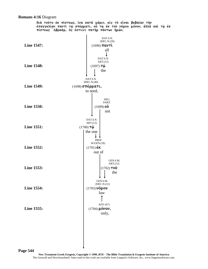#### **Romans 4:16** Diagram

διά τούτο έκ πίστεως, *ίνα κατ*ά χάριν, είς τὸ είναι βεβαίαν τήν επαγγελίαν παντι τω σπέρματι, ου τω εκ του νόμου μόνον, αλλα και τω εκ  $\pi$ ίστεως 'Αβραάμ, ός έστι(ν) πατήρ παντων ήμων,

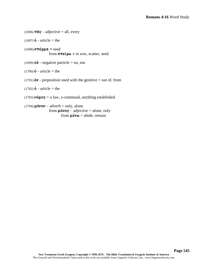```
(1696) \pi \hat{a} s - adjective = all, every
(1697) o - article = the
(1698) \sigma \pi \acute{\epsilon} \rho \mu \alpha = seed
                  from \sigma \pi \epsilon \omega = to sow, scatter, seed
(1699) \vec{\mathbf{v}} - negative particle = no, not
(1700) o - article = the
(1701) \acute{\epsilon}K - preposition used with the genitive = out of, from
(1702) o - article = the
(1703) \nuo\muos = a law, a command, anything established
(1704) \muóvov - adverb = only, alone
                   from \muóvos - adjective = alone, only
```
from  $\mu \notin \nu \omega$  = abide, remain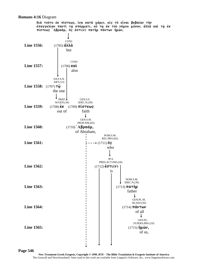#### **Romans 4:16** Diagram



**Page 546**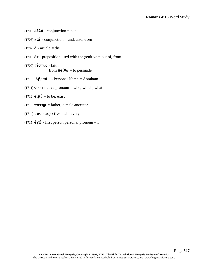$(1705) \hat{\mathbf{d}} \lambda \lambda \hat{\mathbf{d}}$  - conjunction = but

(1706) **kai** - conjunction = and, also, even

 $(1707)$  **o** - article = the

(1708)  $\hat{\epsilon}$ **K** - preposition used with the genitive = out of, from

(1709) **πίστις** - faith from  $\pi \in \mathfrak{so}$  = to persuade

 $(1710)$   $\mathbf{A}\beta\boldsymbol{\rho}\alpha\boldsymbol{\dot{\alpha}\mu}$  - Personal Name = Abraham

(1711)  $\ddot{\mathbf{o}}s$  - relative pronoun = who, which, what

 $(1712)$   $\epsilon \mathbf{i} \mu \mathbf{i} =$  to be, exist

(1713)  $\pi a \tau \eta \rho$  = father; a male ancestor

(1714)  $\pi \hat{a} s$  - adjective = all, every

 $(1715) \hat{\epsilon} \gamma \hat{\omega}$  - first person personal pronoun = I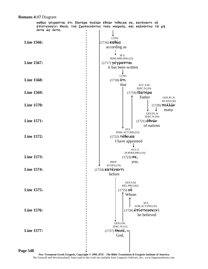#### **Romans 4:17** Diagram

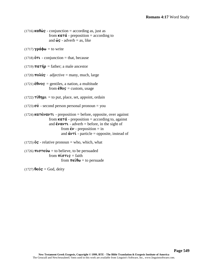$(1716)$  **ka** $\theta \hat{\omega}$ **s** - conjunction = according as, just as from  $\kappa \alpha \tau \dot{\alpha}$  - preposition = according to and  $\dot{\omega}$ **s** - adverb = as, like

 $(1717)$   $\gamma \rho \acute{\alpha} \phi \omega =$  to write

(1718)  $\ddot{\text{o}}\text{T}$ **L** - conjunction = that, because

(1719)  $\pi a \tau \eta \rho$  = father; a male ancestor

 $(1720)$   $\text{mod }$  $\text{us }$  - adjective = many, much, large

 $(1721)$   $\acute{\epsilon}$  $\theta\nu$ **os** = gentiles, a nation, a multitude from  $\acute{\epsilon} \theta$ **os** = custom, usage

 $(1722)$   $\tau \hat{i} \theta \eta \mu \hat{i} =$  to put, place, set, appoint, ordain

 $(1723)$   $\sigma \acute{\nu}$  - second person personal pronoun = you

```
(1724) katévavti - preposition = before, opposite, over against
                    from \kappa a \tau \dot{a} - preposition = according to, against
                    and \ddot{\epsilon}vav<sub>T</sub> - adverb = before, in the sight of
                              from \dot{\epsilon} \nu - preposition = in
                              and \dot{\alpha}v\tau\dot{\alpha} - particle = opposite, instead of
```
(1725)  $\ddot{\mathbf{o}}\mathbf{s}$  - relative pronoun = who, which, what

```
(1726) \pi \mathbf{u} \sigma \tau \in \mathcal{W} = to believe, to be persuaded
                              from \pi \mathbf{i} \sigma \tau \mathbf{i} s = \text{faith}from \pi \in \mathfrak{e} \Theta \omega = to persuade
```
 $(1727)$   $\theta \in \mathbf{6}$  $\mathbf{s} = \text{God}, \text{deriv}$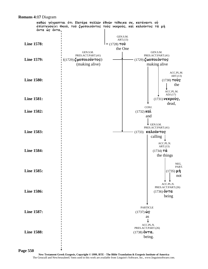

#### **Romans 4:17** Diagram